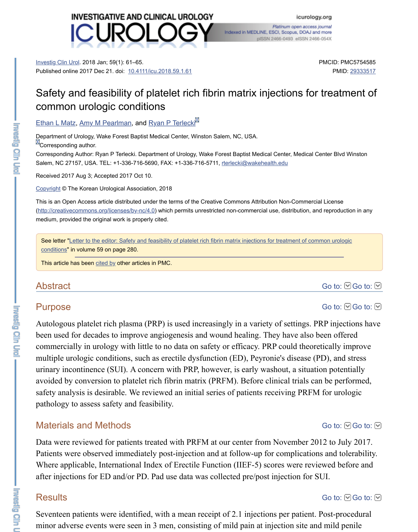#### Ethan L Matz, Amy M Pearlman, and Ryan P Terlecki<sup>ld</sup>

Department of Urology, Wake Forest Baptist Medical Center, Winston Salem, NC, USA. **E**Corresponding author.

Corresponding Author: Ryan P Terlecki. Department of Urology, Wake Forest Baptist Medical Center, Medical C Salem, NC 27157, USA. TEL: +1-336-716-5690, FAX: +1-336-716-5711, rterlecki@wakehealth.edu

[Received 2017 A](https://www.ncbi.nlm.nih.gov/pmc/articles/PMC5754585/#)ug 3; Accepted 2017 Oct 10.

Copyright © The Korean Urological [Association, 2018](https://dx.doi.org/10.4111%2Ficu.2018.59.1.61)

This is an Open Access article distributed under the terms of the Creative Commons Attribution Non-Commercia (http://creativecommons.org/licenses/by-nc/4.0) which permits unrestricted non-commercial use, distribution, an medium, provided the original work is properly cited.

[See letter "Le](https://www.ncbi.nlm.nih.gov/pubmed/?term=Matz%20EL%5BAuthor%5D&cauthor=true&cauthor_uid=29333517)tt[er to the editor: Safet](https://www.ncbi.nlm.nih.gov/pubmed/?term=Pearlman%20AM%5BAuthor%5D&cauthor=true&cauthor_uid=29333517)y and [feasibility of platele](https://www.ncbi.nlm.nih.gov/pubmed/?term=Terlecki%20RP%5BAuthor%5D&cauthor=true&cauthor_uid=29333517)t rich fibrin matrix injections for treatment of com conditions" in volume 59 on page 280.

This article has been cited by other articles in PMC.

### Abstract

### [Purpo](https://www.ncbi.nlm.nih.gov/pmc/about/copyright/)se

[Autologous platelet rich plasma \(PR](http://creativecommons.org/licenses/by-nc/4.0)P) is used increasingly in a variety of settings. Pl been used for decades to improve angiogenesis and wound healing. They have also b commercially in urology with little to no data on safety or efficacy. PRP could theore multiple urologic conditions, such as erectile dysfunction (ED), Peyronie's disease (P urinary incontinence (SUI). A concern with PRP, however, is early washout, a situation avoided by conve[rsion t](https://www.ncbi.nlm.nih.gov/pmc/articles/PMC5754585/citedby/)o platelet rich fibrin matrix (PRFM). Before clinical trials can safety analysis is desirable. We reviewed an initial series of patients receiving PRFM pathology to assess safety and feasibility.

## Materials and Methods

Data were reviewed for patients treated with PRFM at our center from November 20 Patients were observed immediately post-injection and at follow-up for complication Where applicable, International Index of Erectile Function (IIEF-5) scores were review after injections for ED and/or PD. Pad use data was collected pre/post injection for S

## **Results**

**Luisend Cily** 

Seventeen patients were identified, with a mean receipt of 2.1 injections per patient. minor adverse events were seen in 3 men, consisting of mild pain at injection site and

**Installation Circuit**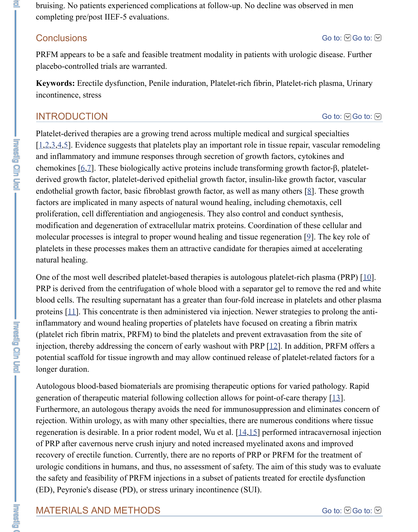### INTRODUCTION

Platelet-derived therapies are a growing trend across multiple medical and surgical special special special special special special special special special special special special special special special special special sp  $[1,2,3,4,5]$ . Evidence suggests that platelets play an important role in tissue repair, va and inflammatory and immune responses through secretion of growth factors, cytokin chemokines  $[6,7]$ . These biologically active proteins include transforming growth factorderived growth factor, platelet-derived epithelial growth factor, insulin-like growth fa endothelial growth factor, basic fibroblast growth factor, as well as many others  $[8]$ . factors are implicated in many aspects of natural wound healing, including chemotax proliferation, cell differentiation and angiogenesis. They also control and conduct syn modification and degeneration of extracellular matrix proteins. Coordination of these molecular processes is integral to proper wound healing and tissue regeneration  $[9]$ . platelets in these processes makes them an attractive candidate for therapies aimed at [na](#page-5-0)[tu](#page-5-1)[ra](#page-5-2)[l](#page-5-3) [he](#page-5-4)aling.

One of the most well described platelet-based therapies is autologous platelet-rich plasma (PRP)  $\alpha$ PRP is deriv[ed](#page-5-5) [fr](#page-5-6)om the centrifugation of whole blood with a separator gel to remove blood cells. The resulting supernatant has a greater than four-fold increase in platelet proteins  $[11]$ . This concentrate is then administered via injection. Newer strategi[es](#page-5-7) to inflammatory and wound healing properties of platelets have focused on creating a fi (platelet rich fibrin matrix, PRFM) to bind the platelets and prevent extravasation from injection, thereby addressing the concern of early washout with PRP  $[12]$ . In addition potential scaffold for tissue ingrowth and may allow continued release of platelet[-r](#page-5-8)elations. longer duration.

Autologous blood-based biomaterials are promising therapeutic options for varied pa generation of therapeutic material following collection allows for point-of-care thera Furthermore, an autologous therapy avoids the need for immunosuppression and elim rejection. Within urology, as with many other specialties, there are numerous conditions regenerat[ion](#page-6-0) is desirable. In a prior rodent model, Wu et al.  $[14,15]$  performed intraca of PRP after cavernous nerve crush injury and noted increased myelinated axons and recovery of erectile function. Currently, there are no reports of PRP or PRFM for the urologic conditions in humans, and thus, no assessment of safety. The [aim](#page-6-1) of this study the safety and feasibility of PRFM injections in a subset of patients treated for erectil (ED), Peyronie's disease (PD), or stress urinary incontinence (SUI).

### MATERIALS AND METHODS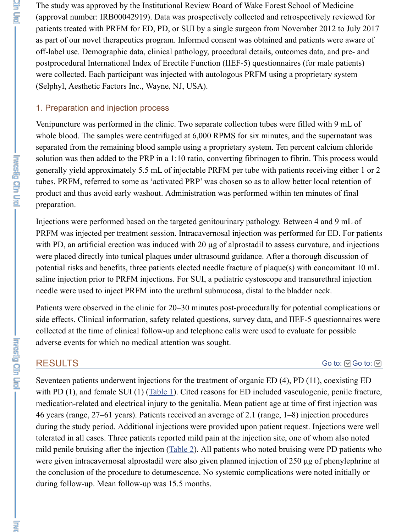Venipuncture was performed in the clinic. Two separate collection tubes were filled y whole blood. The samples were centrifuged at 6,000 RPMS for six minutes, and the s separated from the remaining blood sample using a proprietary system. Ten percent c solution was then added to the PRP in a  $1:10$  ratio, converting fibrinogen to fibrin. The generally yield approximately 5.5 mL of injectable PRFM per tube with patients rece tubes. PRFM, referred to some as 'activated PRP' was chosen so as to allow better lo product and thus avoid early washout. Administration was performed within ten minutes of  $f(x)$ preparation.

Injections were performed based on the targeted genitourinary pathology. Between 4 PRFM was injected per treatment session. Intracavernosal injection was performed for with PD, an artificial erection was induced with  $20 \mu$ g of alprostadil to assess curvature were placed directly into tunical plaques under ultrasound guidance. After a thorough potential risks and benefits, three patients elected needle fracture of plaque(s) with concern saline injection prior to PRFM injections. For SUI, a pediatric cystoscope and transure needle were used to inject PRFM into the urethral submucosa, distal to the bladder neck.

Patients were observed in the clinic for 20–30 minutes post-procedurally for potentia side effects. Clinical information, safety related questions, survey data, and IIEF-5 qu collected at the time of clinical follow-up and telephone calls were used to evaluate for adverse events for which no medical attention was sought.

# RESULTS

Seventeen patients underwent injections for the treatment of organic ED  $(4)$ , PD  $(11)$ with PD (1), and female SUI (1) (Table 1). Cited reasons for ED included vasculoger medication-related and electrical injury to the genitalia. Mean patient age at time of f 46 years (range, 27–61 years). Patients received an average of 2.1 (range, 1–8) inject during the study period. Additional injections were provided upon patient request. In tolerated in all cases. Three patients reported mild pain at the injection site, one of wl mild penile bruising after the injection  $(Table 2)$ . All patients who noted bruising were were given intracavernosal alprostadil were also given planned injection of  $250 \mu g$  of the conclusion of the procedure to detumescence. No systemic complications were no during follow-up. Mean follow-up was 15.5 months.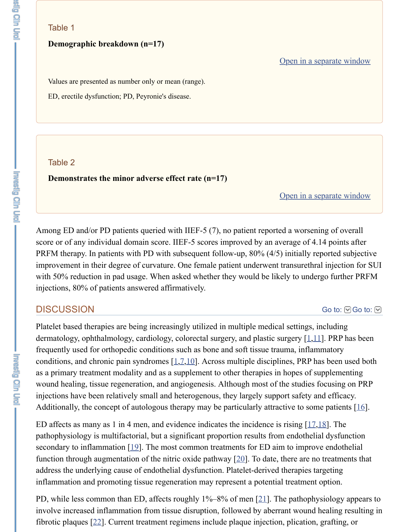#### Table 2

#### **Demonstrates the minor adverse effect rate (n=17)**

Open in a se

Among ED and/or PD patients queried with IIEF-5  $(7)$ , no patient reported a worsening score or of any individual domain score. IIEF-5 scores improved by an average of 4. PRFM therapy. In patients with PD with subsequent follow-up,  $80\%$  (4/5) initially re improvement in their degree of curvature. One female patient underwent transurethral with 50% reduction in pad usage. When asked whether they would be likely to under injections, 80% of patients answered affirmatively.

### **DISCUSSION**

Platelet based therapies are being increasingly utilized in multiple medical settings, in dermatology, ophthalmology, cardiology, colorectal surgery, and plastic surgery  $[1,11]$ frequently used for orthopedic conditions such as bone and soft tissue trauma, inflam conditions, and chronic pain syndromes  $[1,7,10]$ . Across multiple disciplines, PRP has as a primary treatment modality and as a supplement to other therapies in hopes of supplement wound healing, tissue regeneration, and angiogenesis. Although most of the studies f injections have been relatively small and heterogenous, they largely support safety an Additionally, the concept of autologous therapy may be particularly attractive to som

ED affects as many as 1 in 4 men, and evidence indicates the incidence is rising  $[17,18]$ pathophysiology is multifactorial, but a significant propor[tion](https://www.ncbi.nlm.nih.gov/pmc/articles/PMC5754585/#) results from endothelia secondary to inflammation  $[19]$ . The most common treatments for ED aim to improve function through augmentation of th[e](#page-5-0) nitric oxide pathway  $[20]$ . To date, there are no address the underlying cause of endothelial dysfunction. Platelet-derived therapies ta inflammation and promoting tissue regen[er](#page-5-0)[at](#page-5-6)[ion](#page-6-3) may represent a potential treatment

PD, while less common than ED, affects roughly  $1\% - 8\%$  of men [21]. The pathophy involve increased inflammation from tissue disruption, followed by aberrant wound l fib[r](#page-6-4)otic plaques  $[22]$ . Current treatment regimens include plaque injection, plication,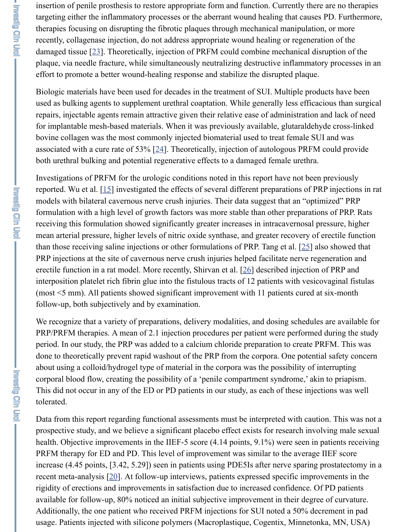### repairs, injectable agents remain attractive given their relative ease of administration and lack of need

for implantable mesh-based materials. When it was previously available, glutaraldeh bovine collagen was the most commonly injected biomaterial used to treat female SU associated with a cure rate of 53%  $[24]$ . Theoretically, injection of autologous PRFM both urethral bulking and potential regenerative effects to a damaged female urethra.

Investigations of [PR](#page-6-5)FM for the urologic conditions noted in this report have not been reported. Wu et al.  $[15]$  investigated the effects of several different preparations of PI models with bilateral cavernous nerve crush injuries. Their data suggest that an "opti formulation with a high level of growth factors was more stable than other preparation receiving this formulation showed significantly greater increases in intracavernosal p mean arterial pressure, higher levels of nitric oxide synthase, and greater recovery of than those receiving saline injections or other formulations of PRP. Tang et al.  $[25]$  also showed that PRP injections at the site of cavernous nerve crush injuries helped facilitate nerve reg erectile function in a rat model. Mo[re r](#page-7-0)ecently, Shirvan et al.  $[26]$  described injection interposition platelet rich fibrin glue into the fistulous tracts of 12 patients with vesic (most  $\leq$  mm). All patients showed significant improvement with 11 patients cured a follow-up, both sub[jec](#page-6-6)tively and by examination.

We recognize that a variety of preparations, delivery modalities, and dosing schedule PRP/PRFM therapies. A mean of 2.1 injection procedures per patient were performed period. In our study, the PRP was added to a calcium chloride preparation to create P done to theoretically prevent rapid washout of the PRP from the corpora. One potentially about using a colloid/hydrogel type of material in the corpora was the possibili[ty o](#page-7-1)f intercorporal blood flow, creating the possibility of a 'penile compartment syndrome,' aki This did not occur in any of the ED or PD patients in our stud[y, a](#page-7-2)s each of these inject tolerated.

Data from this report regarding functional assessments must be interpreted with caution. prospective study, and we believe a significant placebo effect exists for research invo health. Objective improvements in the IIEF-5 score  $(4.14 \text{ points}, 9.1\%)$  were seen in PRFM therapy for ED and PD. This level of improvement was similar to the average increase  $(4.45 \text{ points}, [3.42, 5.29])$  seen in patients using PDE5Is after nerve sparing recent meta-analysis  $[20]$ . At follow-up interviews, patients expressed specific improvements in the theorem. rigidity of erections and improvements in satisfaction due to increased confidence. O available for follow-up, 80% noticed an initial subjective improvement in their degree Additionally, the one patient who received PRFM injections for SUI noted a 50% dec usage. Patients injected with silicone polymers (Macroplastique, Cogentix, Minneton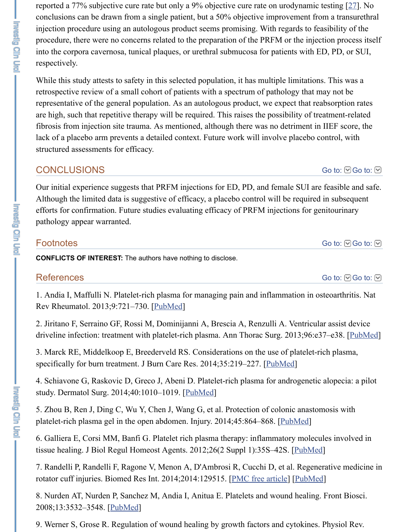are high, such that repetitive therapy will be required. This raises the possibility of treatment-related fibrosis from injection site trauma. As mentioned, although there was no detriment in lack of a placebo arm prevents a detailed context. Future work will involve placebo c structured assessments for efficacy.

# CONCLUSIONS

Our initial experience suggests that PRFM injections for ED, PD, and female SUI are Although the limited data is suggestive of efficacy, a placebo control will be required efforts for confirmation. Future studies evaluating efficacy of PRFM injections for go pathology appear warranted.

### **Footnotes**

**CONFLICTS OF INTEREST:** The authors have nothing to disclose.

### **References**

1. Andia I, Maffulli N. Platelet-rich plasma for managing pain and inflammation in o Rev Rheumatol. 2013;9:721–730. [PubMed]

2. Jiritano F, Serraino GF, Rossi M, Dominijanni A, Brescia A, Renzulli A. Ventricul driveline infection: treatment with platelet-rich plasma. Ann Thorac Surg. 2013;96:e3

3. Marck RE, Middelkoop E, Breederveld RS. Considerations on the use of platelet-r specifically for burn treatment. J Burn Care Res. 2014;35:219-227. [PubMed]

4. Schiavone G, Raskovic D, Greco J, Abeni D. Platelet-rich plasma for androgenetic study. Dermatol Surg. 2014;40:1010–1019. [PubMed]

<span id="page-5-0"></span>5. Zhou B, Ren J, Ding C, Wu Y, Chen J, Wang G, et al. Protection of colonic anastom platelet-rich plasma gel in the open [abdomen](https://www.ncbi.nlm.nih.gov/pubmed/24080861). Injury. 2014;45:864-868. [PubMed]

<span id="page-5-1"></span>6. Galliera E, Corsi MM, Banfi G. Platelet rich plasma therapy: inflammatory molecules tissue healing. J Biol Regul Homeost Agents. 2012;26(2 Suppl 1):35S-42S. [PubMed]

<span id="page-5-2"></span>7. Randelli P, Randelli F, Ragone V, Menon A, D'Ambrosi R, Cucchi D, et al. Regene rotator cuff injuries. Biomed Res Int. 2014;2014:129515. [PMC free [article\]](https://www.ncbi.nlm.nih.gov/pubmed/24518678) [PubMe

<span id="page-5-3"></span>8. Nurden AT, Nurden P, Sanchez M, Andia I, Anitua E. Platelets and wound healing. 2008;13:3532–3548. [PubMed]

<span id="page-5-8"></span><span id="page-5-7"></span><span id="page-5-6"></span><span id="page-5-5"></span><span id="page-5-4"></span>9. Werner S, Grose R. Regulation of wound healing by growth factors and cytokines.

Fanda OF Ca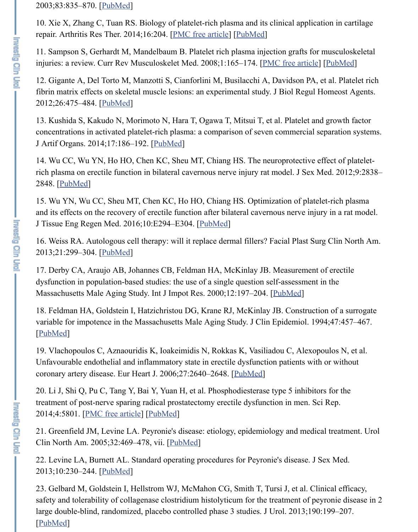<span id="page-6-3"></span>13. Kushida S, Kak[udo N, M](https://www.ncbi.nlm.nih.gov/pubmed/12843410)orimoto N, Hara T, Ogawa T, Mitsui T, et al. Platelet an concentrations in activated platelet-rich plasma: a comparison of seven commercial s J Artif Organs. 2014;17:186–192. [PubMed]

<span id="page-6-0"></span>14. Wu CC, Wu YN, Ho HO, Chen KC, [Sheu MT, Chiang](https://www.ncbi.nlm.nih.gov/pmc/articles/PMC3978832/) [HS. The n](https://www.ncbi.nlm.nih.gov/pubmed/25164150)europrotective of rich plasma on erectile function in bilateral cavernous nerve injury rat model. J Sex N 2848. [PubMed]

<span id="page-6-1"></span>15. Wu YN, Wu CC, Sheu MT, Chen KC, Ho HO, Chiang HS. Optimization of plate and its effects on the recovery of erectile function after bilateral cavernous nerve injury J Tissue Eng Regen [Med. 20](https://www.ncbi.nlm.nih.gov/pubmed/23034267)16;10:E294–E304. [PubMed]

<span id="page-6-2"></span>16. Weiss RA. Autologous cell therapy: will it replace dermal fillers? Facial Plast Su 2013;21:299–304. [PubMed]

17. Derby CA, Araujo AB, Johannes CB, Feldman HA, McKinlay JB. Measurement dysfunction in population-based studies: the use of a single question self-assessment Massa[chusetts M](https://www.ncbi.nlm.nih.gov/pubmed/22906160)ale Aging Study. Int J Impot Res. 2000;12:197–204. [PubMed]

<span id="page-6-6"></span>18. Feldman HA, Goldstein I, Hatzichristou DG, Krane RJ, McKinlay JB. Construction variable for impotence in the Massachusetts Male Aging Study. J Clin Epidemiol. 19 [PubMed]

<span id="page-6-4"></span>19. Vlachopoulos C, Aznaouridis K, Ioakeimidis N, Rokkas K, Vasiliadou C, Alexop Unfavourable endothelial and inflammatory state in erectile dysfunction patients with coronary artery dis[ease. Eur](https://www.ncbi.nlm.nih.gov/pubmed/23731590) Heart J. 2006;27:2640–2648. [PubMed]

20. Li J, Shi Q, Pu C, Tang Y, Bai Y, Yuan H, et al. Phosphodiesterase type 5 inhibitors for the U, Shai Y, Yuan H, et al. Phosphodiesterase type 5 inhibitors for the U.S. treatment of post-nerve sparing radical prostatectomy erectile dysfunct[ion in me](https://www.ncbi.nlm.nih.gov/pubmed/11079360)n. Sc 2014;4:5801. [PMC free article] [PubMed]

21. Greenfield JM, Levine LA. Peyronie's disease: etiology, epidemiology and medic Clin North Am. 2005;32:469–478, vii. [PubMed]

[22. Levin](https://www.ncbi.nlm.nih.gov/pubmed/7730871)e LA, Burnett AL. Standard operating procedures for Peyronie's disease. J Sex Med. 2013;10:230–244. [PubMed]

<span id="page-6-5"></span>23. Gelbard M, Goldstein I, Hellstrom WJ, McMahon CG, [Smith T,](https://www.ncbi.nlm.nih.gov/pubmed/17056702) Tursi J, et al. Cli safety and tolerability of collagenase clostridium histolyticum for the treatment of pe large double-blind, randomized, placebo controlled phase 3 studies. J Urol. 2013;190 [PubMed]